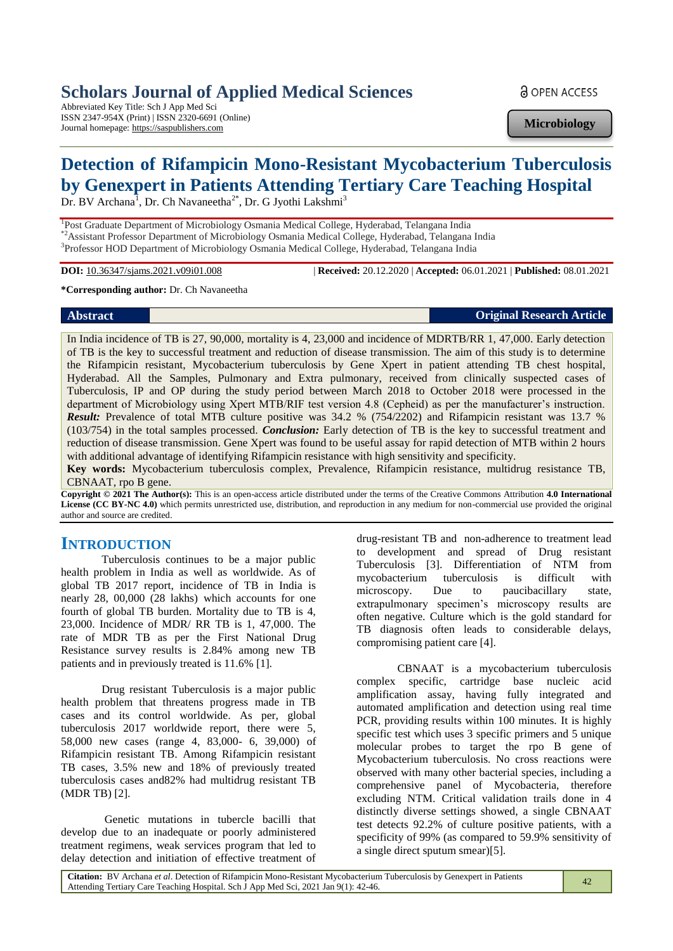# **Scholars Journal of Applied Medical Sciences**

Abbreviated Key Title: Sch J App Med Sci ISSN 2347-954X (Print) | ISSN 2320-6691 (Online) Journal homepage: https://saspublishers.com

**a** OPEN ACCESS

**Microbiology**

# **Detection of Rifampicin Mono-Resistant Mycobacterium Tuberculosis by Genexpert in Patients Attending Tertiary Care Teaching Hospital**

Dr. BV Archana<sup>1</sup>, Dr. Ch Navaneetha<sup>2\*</sup>, Dr. G Jyothi Lakshmi<sup>3</sup>

<sup>1</sup>Post Graduate Department of Microbiology Osmania Medical College, Hyderabad, Telangana India \*2Assistant Professor Department of Microbiology Osmania Medical College, Hyderabad, Telangana India <sup>3</sup>Professor HOD Department of Microbiology Osmania Medical College, Hyderabad, Telangana India

**DOI:** 10.36347/sjams.2021.v09i01.008 | **Received:** 20.12.2020 | **Accepted:** 06.01.2021 | **Published:** 08.01.2021

**\*Corresponding author:** Dr. Ch Navaneetha

**Abstract Original Research Article** 

In India incidence of TB is 27, 90,000, mortality is 4, 23,000 and incidence of MDRTB/RR 1, 47,000. Early detection of TB is the key to successful treatment and reduction of disease transmission. The aim of this study is to determine the Rifampicin resistant, Mycobacterium tuberculosis by Gene Xpert in patient attending TB chest hospital, Hyderabad. All the Samples, Pulmonary and Extra pulmonary, received from clinically suspected cases of Tuberculosis, IP and OP during the study period between March 2018 to October 2018 were processed in the department of Microbiology using Xpert MTB/RIF test version 4.8 (Cepheid) as per the manufacturer's instruction. *Result:* Prevalence of total MTB culture positive was 34.2 % (754/2202) and Rifampicin resistant was 13.7 % (103/754) in the total samples processed. *Conclusion:* Early detection of TB is the key to successful treatment and reduction of disease transmission. Gene Xpert was found to be useful assay for rapid detection of MTB within 2 hours with additional advantage of identifying Rifampicin resistance with high sensitivity and specificity.

**Key words:** Mycobacterium tuberculosis complex, Prevalence, Rifampicin resistance, multidrug resistance TB, CBNAAT, rpo B gene.

**Copyright © 2021 The Author(s):** This is an open-access article distributed under the terms of the Creative Commons Attribution **4.0 International License (CC BY-NC 4.0)** which permits unrestricted use, distribution, and reproduction in any medium for non-commercial use provided the original author and source are credited.

# **INTRODUCTION**

Tuberculosis continues to be a major public health problem in India as well as worldwide. As of global TB 2017 report, incidence of TB in India is nearly 28, 00,000 (28 lakhs) which accounts for one fourth of global TB burden. Mortality due to TB is 4, 23,000. Incidence of MDR/ RR TB is 1, 47,000. The rate of MDR TB as per the First National Drug Resistance survey results is 2.84% among new TB patients and in previously treated is 11.6% [1].

Drug resistant Tuberculosis is a major public health problem that threatens progress made in TB cases and its control worldwide. As per, global tuberculosis 2017 worldwide report, there were 5, 58,000 new cases (range 4, 83,000- 6, 39,000) of Rifampicin resistant TB. Among Rifampicin resistant TB cases, 3.5% new and 18% of previously treated tuberculosis cases and82% had multidrug resistant TB (MDR TB) [2].

Genetic mutations in tubercle bacilli that develop due to an inadequate or poorly administered treatment regimens, weak services program that led to delay detection and initiation of effective treatment of drug-resistant TB and non-adherence to treatment lead to development and spread of Drug resistant Tuberculosis [3]. Differentiation of NTM from mycobacterium tuberculosis is difficult with microscopy. Due to paucibacillary state, extrapulmonary specimen's microscopy results are often negative. Culture which is the gold standard for TB diagnosis often leads to considerable delays, compromising patient care [4].

CBNAAT is a mycobacterium tuberculosis complex specific, cartridge base nucleic acid amplification assay, having fully integrated and automated amplification and detection using real time PCR, providing results within 100 minutes. It is highly specific test which uses 3 specific primers and 5 unique molecular probes to target the rpo B gene of Mycobacterium tuberculosis. No cross reactions were observed with many other bacterial species, including a comprehensive panel of Mycobacteria, therefore excluding NTM. Critical validation trails done in 4 distinctly diverse settings showed, a single CBNAAT test detects 92.2% of culture positive patients, with a specificity of 99% (as compared to 59.9% sensitivity of a single direct sputum smear)[5].

**Citation:** BV Archana *et al*. Detection of Rifampicin Mono-Resistant Mycobacterium Tuberculosis by Genexpert in Patients Citation: BV Archana *et al.* Detection of Kitampicin Mono-Resistant Mycobacterium Tuberculosis by Genexpert in Patients 42<br>Attending Tertiary Care Teaching Hospital. Sch J App Med Sci, 2021 Jan 9(1): 42-46.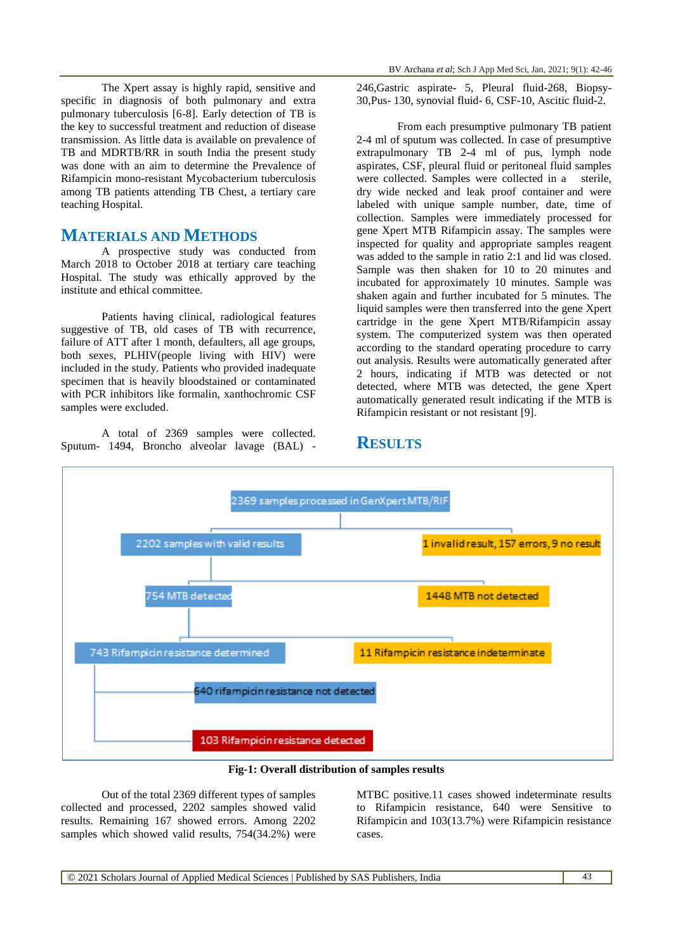The Xpert assay is highly rapid, sensitive and specific in diagnosis of both pulmonary and extra pulmonary tuberculosis [6-8]. Early detection of TB is the key to successful treatment and reduction of disease transmission. As little data is available on prevalence of TB and MDRTB/RR in south India the present study was done with an aim to determine the Prevalence of Rifampicin mono-resistant Mycobacterium tuberculosis among TB patients attending TB Chest, a tertiary care teaching Hospital.

# **MATERIALS AND METHODS**

A prospective study was conducted from March 2018 to October 2018 at tertiary care teaching Hospital. The study was ethically approved by the institute and ethical committee.

Patients having clinical, radiological features suggestive of TB, old cases of TB with recurrence, failure of ATT after 1 month, defaulters, all age groups, both sexes, PLHIV(people living with HIV) were included in the study. Patients who provided inadequate specimen that is heavily bloodstained or contaminated with PCR inhibitors like formalin, xanthochromic CSF samples were excluded.

A total of 2369 samples were collected. Sputum- 1494, Broncho alveolar lavage (BAL) - 246,Gastric aspirate- 5, Pleural fluid-268, Biopsy-30,Pus- 130, synovial fluid- 6, CSF-10, Ascitic fluid-2.

From each presumptive pulmonary TB patient 2-4 ml of sputum was collected. In case of presumptive extrapulmonary TB 2-4 ml of pus, lymph node aspirates, CSF, pleural fluid or peritoneal fluid samples were collected. Samples were collected in a sterile, dry wide necked and leak proof container and were labeled with unique sample number, date, time of collection. Samples were immediately processed for gene Xpert MTB Rifampicin assay. The samples were inspected for quality and appropriate samples reagent was added to the sample in ratio 2:1 and lid was closed. Sample was then shaken for 10 to 20 minutes and incubated for approximately 10 minutes. Sample was shaken again and further incubated for 5 minutes. The liquid samples were then transferred into the gene Xpert cartridge in the gene Xpert MTB/Rifampicin assay system. The computerized system was then operated according to the standard operating procedure to carry out analysis. Results were automatically generated after 2 hours, indicating if MTB was detected or not detected, where MTB was detected, the gene Xpert automatically generated result indicating if the MTB is Rifampicin resistant or not resistant [9].

# **RESULTS**



**Fig-1: Overall distribution of samples results**

Out of the total 2369 different types of samples collected and processed, 2202 samples showed valid results. Remaining 167 showed errors. Among 2202 samples which showed valid results, 754(34.2%) were MTBC positive.11 cases showed indeterminate results to Rifampicin resistance, 640 were Sensitive to Rifampicin and 103(13.7%) were Rifampicin resistance cases.

© 2021 Scholars Journal of Applied Medical Sciences | Published by SAS Publishers, India 43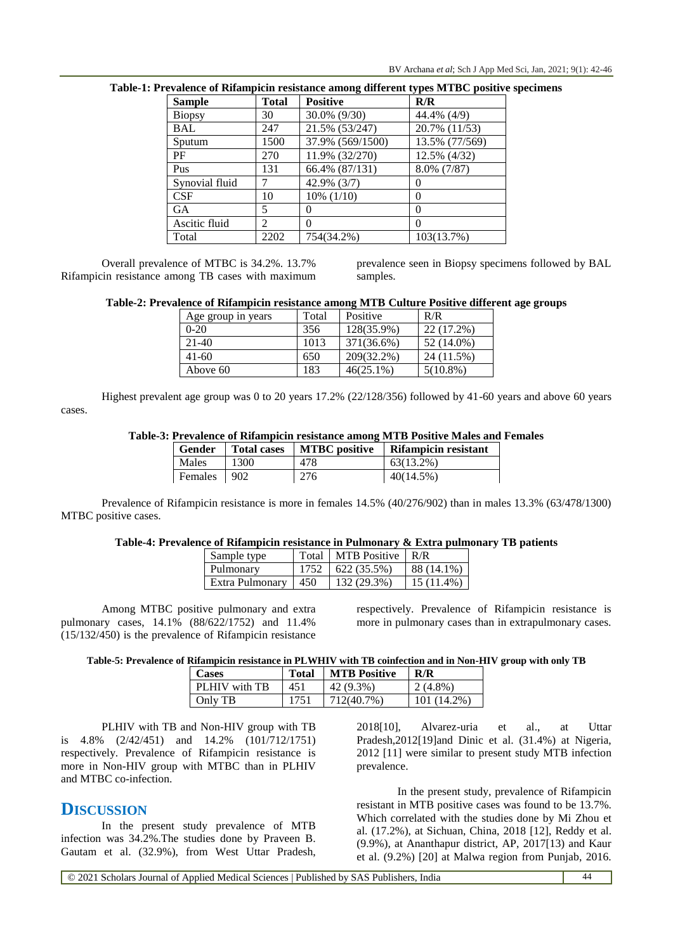| <b>Sample</b>  | <b>Total</b> | <b>Positive</b>  | R/R            |
|----------------|--------------|------------------|----------------|
| <b>Biopsy</b>  | 30           | 30.0% (9/30)     | 44.4% (4/9)    |
| BAL            | 247          | 21.5% (53/247)   | 20.7% (11/53)  |
| Sputum         | 1500         | 37.9% (569/1500) | 13.5% (77/569) |
| PF             | 270          | 11.9% (32/270)   | 12.5% (4/32)   |
| Pus            | 131          | 66.4% (87/131)   | 8.0% (7/87)    |
| Synovial fluid |              | 42.9% (3/7)      | $\theta$       |
| CSE            | 10           | $10\%$ $(1/10)$  | $\theta$       |
| <b>GA</b>      | 5            | $\Omega$         | $\Omega$       |
| Ascitic fluid  | 2            | 0                | $\Omega$       |
| Total          | 2202         | 754(34.2%)       | 103(13.7%)     |

### **Table-1: Prevalence of Rifampicin resistance among different types MTBC positive specimens**

Overall prevalence of MTBC is 34.2%. 13.7% Rifampicin resistance among TB cases with maximum prevalence seen in Biopsy specimens followed by BAL samples.

#### **Table-2: Prevalence of Rifampicin resistance among MTB Culture Positive different age groups**

| Age group in years | Total | Positive     | R/R         |
|--------------------|-------|--------------|-------------|
| $0 - 20$           | 356   | 128(35.9%)   | 22 (17.2%)  |
| $21-40$            | 1013  | 371(36.6%)   | 52 (14.0%)  |
| $41-60$            | 650   | 209(32.2%)   | 24 (11.5%)  |
| Above 60           | 183   | $46(25.1\%)$ | $5(10.8\%)$ |

Highest prevalent age group was 0 to 20 years 17.2% (22/128/356) followed by 41-60 years and above 60 years cases.

#### **Table-3: Prevalence of Rifampicin resistance among MTB Positive Males and Females**

| Gender         | <b>Total cases</b> | <b>MTBC</b> positive | Rifampicin resistant |
|----------------|--------------------|----------------------|----------------------|
| Males          | 1300               | 478                  | 63(13.2%)            |
| <b>Females</b> | 902                | 276                  | $40(14.5\%)$         |

Prevalence of Rifampicin resistance is more in females 14.5% (40/276/902) than in males 13.3% (63/478/1300) MTBC positive cases.

#### **Table-4: Prevalence of Rifampicin resistance in Pulmonary & Extra pulmonary TB patients**

| Sample type     | Total | <b>MTB</b> Positive | R/R        |
|-----------------|-------|---------------------|------------|
| Pulmonary       |       | 622 (35.5%)         | 88 (14.1%) |
| Extra Pulmonary | 450   | 132 (29.3%)         | 15 (11.4%) |

Among MTBC positive pulmonary and extra pulmonary cases, 14.1% (88/622/1752) and 11.4% (15/132/450) is the prevalence of Rifampicin resistance

respectively. Prevalence of Rifampicin resistance is more in pulmonary cases than in extrapulmonary cases.

**Table-5: Prevalence of Rifampicin resistance in PLWHIV with TB coinfection and in Non-HIV group with only TB**

| <b>Cases</b>  | <b>Total</b> | <b>MTB</b> Positive | R/R           |
|---------------|--------------|---------------------|---------------|
| PLHIV with TB | 451          | 42 (9.3%)           | $2(4.8\%)$    |
| Only TB       | 1751         | 1712(40.7%)         | $101(14.2\%)$ |

PLHIV with TB and Non-HIV group with TB is 4.8% (2/42/451) and 14.2% (101/712/1751) respectively. Prevalence of Rifampicin resistance is more in Non-HIV group with MTBC than in PLHIV and MTBC co-infection.

## **DISCUSSION**

In the present study prevalence of MTB infection was 34.2%.The studies done by Praveen B. Gautam et al. (32.9%), from West Uttar Pradesh, 2018[10], Alvarez-uria et al., at Uttar Pradesh,2012[19]and Dinic et al. (31.4%) at Nigeria, 2012 [11] were similar to present study MTB infection prevalence.

In the present study, prevalence of Rifampicin resistant in MTB positive cases was found to be 13.7%. Which correlated with the studies done by Mi Zhou et al. (17.2%), at Sichuan, China, 2018 [12], Reddy et al. (9.9%), at Ananthapur district, AP, 2017[13) and Kaur et al. (9.2%) [20] at Malwa region from Punjab, 2016.

© 2021 Scholars Journal of Applied Medical Sciences | Published by SAS Publishers, India 44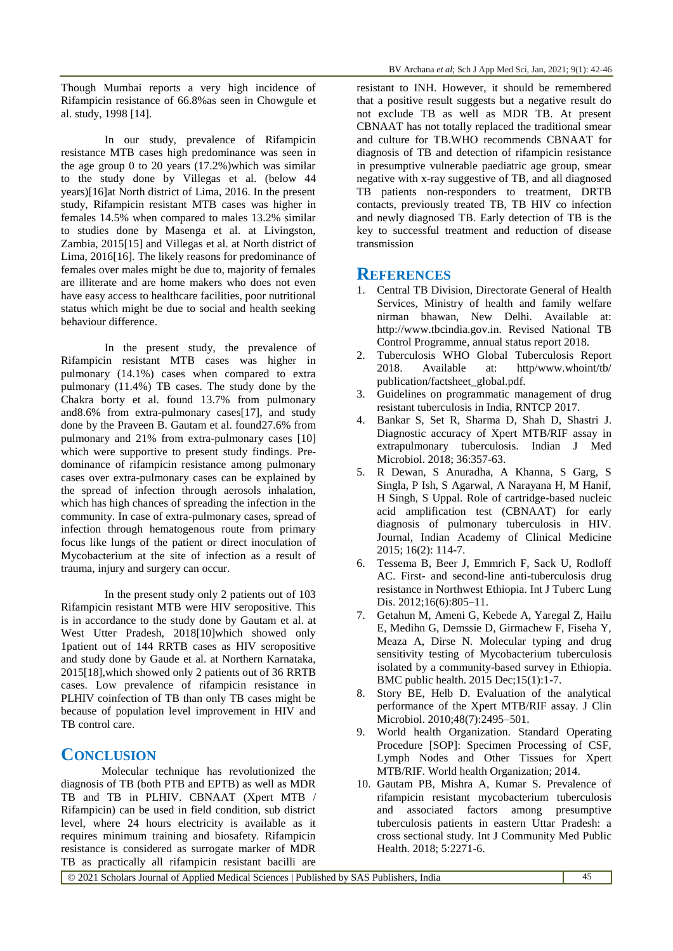Though Mumbai reports a very high incidence of Rifampicin resistance of 66.8%as seen in Chowgule et al. study, 1998 [14].

In our study, prevalence of Rifampicin resistance MTB cases high predominance was seen in the age group 0 to 20 years (17.2%)which was similar to the study done by Villegas et al. (below 44 years)[16]at North district of Lima, 2016. In the present study, Rifampicin resistant MTB cases was higher in females 14.5% when compared to males 13.2% similar to studies done by Masenga et al. at Livingston, Zambia, 2015[15] and Villegas et al. at North district of Lima, 2016[16]. The likely reasons for predominance of females over males might be due to, majority of females are illiterate and are home makers who does not even have easy access to healthcare facilities, poor nutritional status which might be due to social and health seeking behaviour difference.

In the present study, the prevalence of Rifampicin resistant MTB cases was higher in pulmonary (14.1%) cases when compared to extra pulmonary (11.4%) TB cases. The study done by the Chakra borty et al. found 13.7% from pulmonary and8.6% from extra-pulmonary cases[17], and study done by the Praveen B. Gautam et al. found27.6% from pulmonary and 21% from extra-pulmonary cases [10] which were supportive to present study findings. Predominance of rifampicin resistance among pulmonary cases over extra-pulmonary cases can be explained by the spread of infection through aerosols inhalation, which has high chances of spreading the infection in the community. In case of extra-pulmonary cases, spread of infection through hematogenous route from primary focus like lungs of the patient or direct inoculation of Mycobacterium at the site of infection as a result of trauma, injury and surgery can occur.

In the present study only 2 patients out of 103 Rifampicin resistant MTB were HIV seropositive. This is in accordance to the study done by Gautam et al. at West Utter Pradesh, 2018[10]which showed only 1patient out of 144 RRTB cases as HIV seropositive and study done by Gaude et al. at Northern Karnataka, 2015[18],which showed only 2 patients out of 36 RRTB cases. Low prevalence of rifampicin resistance in PLHIV coinfection of TB than only TB cases might be because of population level improvement in HIV and TB control care.

# **CONCLUSION**

Molecular technique has revolutionized the diagnosis of TB (both PTB and EPTB) as well as MDR TB and TB in PLHIV. CBNAAT (Xpert MTB / Rifampicin) can be used in field condition, sub district level, where 24 hours electricity is available as it requires minimum training and biosafety. Rifampicin resistance is considered as surrogate marker of MDR TB as practically all rifampicin resistant bacilli are

resistant to INH. However, it should be remembered that a positive result suggests but a negative result do not exclude TB as well as MDR TB. At present CBNAAT has not totally replaced the traditional smear and culture for TB.WHO recommends CBNAAT for diagnosis of TB and detection of rifampicin resistance in presumptive vulnerable paediatric age group, smear negative with x-ray suggestive of TB, and all diagnosed TB patients non-responders to treatment, DRTB contacts, previously treated TB, TB HIV co infection and newly diagnosed TB. Early detection of TB is the key to successful treatment and reduction of disease transmission

## **REFERENCES**

- 1. Central TB Division, Directorate General of Health Services, Ministry of health and family welfare nirman bhawan, New Delhi. Available at: http://www.tbcindia.gov.in. Revised National TB Control Programme, annual status report 2018.
- 2. Tuberculosis WHO Global Tuberculosis Report 2018. Available at: http/www.whoint/tb/ publication/factsheet\_global.pdf.
- 3. Guidelines on programmatic management of drug resistant tuberculosis in India, RNTCP 2017.
- 4. Bankar S, Set R, Sharma D, Shah D, Shastri J. Diagnostic accuracy of Xpert MTB/RIF assay in extrapulmonary tuberculosis. Indian J Med Microbiol. 2018; 36:357-63.
- 5. R Dewan, S Anuradha, A Khanna, S Garg, S Singla, P Ish, S Agarwal, A Narayana H, M Hanif, H Singh, S Uppal. Role of cartridge-based nucleic acid amplification test (CBNAAT) for early diagnosis of pulmonary tuberculosis in HIV. Journal, Indian Academy of Clinical Medicine 2015; 16(2): 114-7.
- 6. Tessema B, Beer J, Emmrich F, Sack U, Rodloff AC. First- and second-line anti-tuberculosis drug resistance in Northwest Ethiopia. Int J Tuberc Lung Dis. 2012;16(6):805-11.
- 7. Getahun M, Ameni G, Kebede A, Yaregal Z, Hailu E, Medihn G, Demssie D, Girmachew F, Fiseha Y, Meaza A, Dirse N. Molecular typing and drug sensitivity testing of Mycobacterium tuberculosis isolated by a community-based survey in Ethiopia. BMC public health. 2015 Dec;15(1):1-7.
- 8. Story BE, Helb D. Evaluation of the analytical performance of the Xpert MTB/RIF assay. J Clin Microbiol. 2010;48(7):2495–501.
- 9. World health Organization. Standard Operating Procedure [SOP]: Specimen Processing of CSF, Lymph Nodes and Other Tissues for Xpert MTB/RIF. World health Organization; 2014.
- 10. Gautam PB, Mishra A, Kumar S. Prevalence of rifampicin resistant mycobacterium tuberculosis and associated factors among presumptive tuberculosis patients in eastern Uttar Pradesh: a cross sectional study. Int J Community Med Public Health. 2018; 5:2271-6.

© 2021 Scholars Journal of Applied Medical Sciences | Published by SAS Publishers, India 45